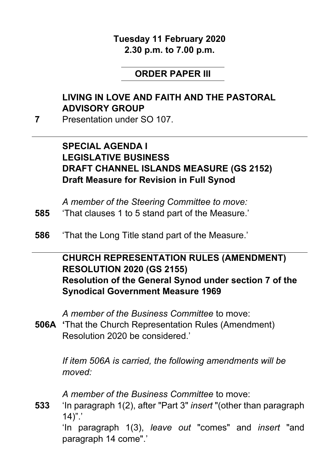#### **Tuesday 11 February 2020 2.30 p.m. to 7.00 p.m.**

#### **ORDER PAPER III**

# **LIVING IN LOVE AND FAITH AND THE PASTORAL ADVISORY GROUP**

**7** Presentation under SO 107.

#### **SPECIAL AGENDA I LEGISLATIVE BUSINESS DRAFT CHANNEL ISLANDS MEASURE (GS 2152) Draft Measure for Revision in Full Synod**

*A member of the Steering Committee to move:*

- **585** 'That clauses 1 to 5 stand part of the Measure.'
- **586** 'That the Long Title stand part of the Measure.'

#### **CHURCH REPRESENTATION RULES (AMENDMENT) RESOLUTION 2020 (GS 2155) Resolution of the General Synod under section 7 of the Synodical Government Measure 1969**

*A member of the Business Committee* to move:

**506A '**That the Church Representation Rules (Amendment) Resolution 2020 be considered.'

> *If item 506A is carried, the following amendments will be moved:*

*A member of the Business Committee* to move:

**533** 'In paragraph 1(2), after "Part 3" *insert* "(other than paragraph 14)".'

> 'In paragraph 1(3), *leave out* "comes" and *insert* "and paragraph 14 come".'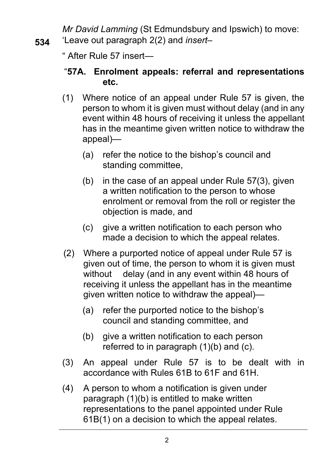*Mr David Lamming* (St Edmundsbury and Ipswich) to move: **534** 'Leave out paragraph 2(2) and *insert–*

" After Rule 57 insert—

#### "**57A. Enrolment appeals: referral and representations etc.**

- (1) Where notice of an appeal under Rule 57 is given, the person to whom it is given must without delay (and in any event within 48 hours of receiving it unless the appellant has in the meantime given written notice to withdraw the appeal)—
	- (a) refer the notice to the bishop's council and standing committee,
	- (b) in the case of an appeal under Rule 57(3), given a written notification to the person to whose enrolment or removal from the roll or register the objection is made, and
	- (c) give a written notification to each person who made a decision to which the appeal relates.
- (2) Where a purported notice of appeal under Rule 57 is given out of time, the person to whom it is given must without delay (and in any event within 48 hours of receiving it unless the appellant has in the meantime given written notice to withdraw the appeal)—
	- (a) refer the purported notice to the bishop's council and standing committee, and
	- (b) give a written notification to each person referred to in paragraph (1)(b) and (c).
- (3) An appeal under Rule 57 is to be dealt with in accordance with Rules 61B to 61F and 61H.
- (4) A person to whom a notification is given under paragraph (1)(b) is entitled to make written representations to the panel appointed under Rule 61B(1) on a decision to which the appeal relates.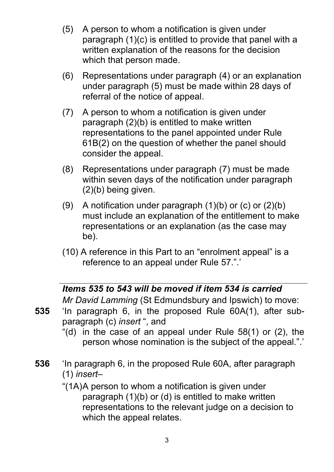- (5) A person to whom a notification is given under paragraph (1)(c) is entitled to provide that panel with a written explanation of the reasons for the decision which that person made.
- (6) Representations under paragraph (4) or an explanation under paragraph (5) must be made within 28 days of referral of the notice of appeal.
- (7) A person to whom a notification is given under paragraph (2)(b) is entitled to make written representations to the panel appointed under Rule 61B(2) on the question of whether the panel should consider the appeal.
- (8) Representations under paragraph (7) must be made within seven days of the notification under paragraph (2)(b) being given.
- (9) A notification under paragraph  $(1)(b)$  or  $(c)$  or  $(2)(b)$ must include an explanation of the entitlement to make representations or an explanation (as the case may be).
- (10) A reference in this Part to an "enrolment appeal" is a reference to an appeal under Rule 57.".'

# *Items 535 to 543 will be moved if item 534 is carried*

*Mr David Lamming* (St Edmundsbury and Ipswich) to move:

- **535** 'In paragraph 6, in the proposed Rule 60A(1), after subparagraph (c) *insert* ", and
	- "(d) in the case of an appeal under Rule 58(1) or (2), the person whose nomination is the subject of the appeal.".'
- **536** 'In paragraph 6, in the proposed Rule 60A, after paragraph (1) *insert–*
	- "(1A)A person to whom a notification is given under paragraph (1)(b) or (d) is entitled to make written representations to the relevant judge on a decision to which the appeal relates.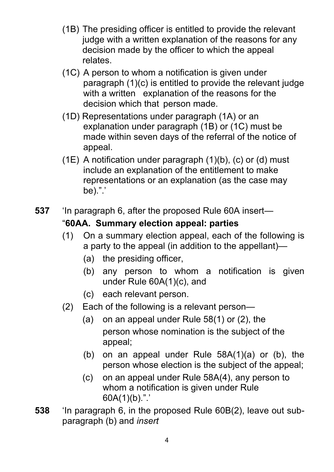- (1B) The presiding officer is entitled to provide the relevant judge with a written explanation of the reasons for any decision made by the officer to which the appeal relates.
- (1C) A person to whom a notification is given under paragraph (1)(c) is entitled to provide the relevant judge with a written explanation of the reasons for the decision which that person made.
- (1D) Representations under paragraph (1A) or an explanation under paragraph (1B) or (1C) must be made within seven days of the referral of the notice of appeal.
- (1E) A notification under paragraph (1)(b), (c) or (d) must include an explanation of the entitlement to make representations or an explanation (as the case may be).".'
- **537** 'In paragraph 6, after the proposed Rule 60A insert— "**60AA. Summary election appeal: parties**
	- (1) On a summary election appeal, each of the following is a party to the appeal (in addition to the appellant)—
		- (a) the presiding officer,
		- (b) any person to whom a notification is given under Rule 60A(1)(c), and
		- (c) each relevant person.
	- (2) Each of the following is a relevant person—
		- (a) on an appeal under Rule 58(1) or (2), the person whose nomination is the subject of the appeal;
		- (b) on an appeal under Rule 58A(1)(a) or (b), the person whose election is the subject of the appeal;
		- (c) on an appeal under Rule 58A(4), any person to whom a notification is given under Rule 60A(1)(b).".'
- **538** 'In paragraph 6, in the proposed Rule 60B(2), leave out subparagraph (b) and *insert*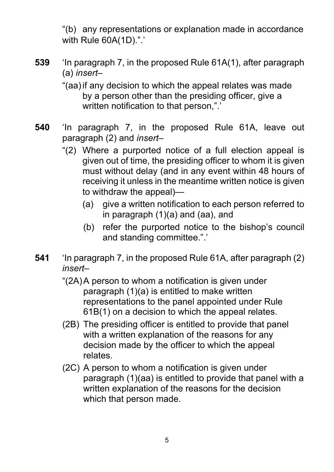"(b) any representations or explanation made in accordance with Rule 60A(1D).".'

**539** 'In paragraph 7, in the proposed Rule 61A(1), after paragraph (a) *insert–*

> "(aa)if any decision to which the appeal relates was made by a person other than the presiding officer, give a written notification to that person,".'

- **540** 'In paragraph 7, in the proposed Rule 61A, leave out paragraph (2) and *insert–*
	- "(2) Where a purported notice of a full election appeal is given out of time, the presiding officer to whom it is given must without delay (and in any event within 48 hours of receiving it unless in the meantime written notice is given to withdraw the appeal)—
		- (a) give a written notification to each person referred to in paragraph (1)(a) and (aa), and
		- (b) refer the purported notice to the bishop's council and standing committee.".'
- **541** 'In paragraph 7, in the proposed Rule 61A, after paragraph (2) *insert–*
	- "(2A)A person to whom a notification is given under paragraph (1)(a) is entitled to make written representations to the panel appointed under Rule 61B(1) on a decision to which the appeal relates.
	- (2B) The presiding officer is entitled to provide that panel with a written explanation of the reasons for any decision made by the officer to which the appeal relates.
	- (2C) A person to whom a notification is given under paragraph (1)(aa) is entitled to provide that panel with a written explanation of the reasons for the decision which that person made.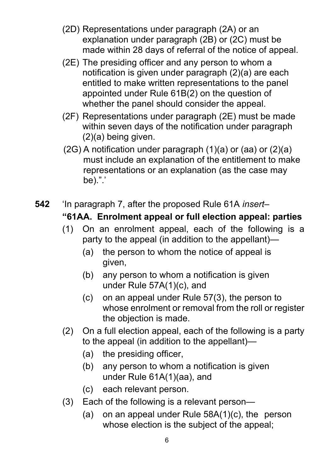- (2D) Representations under paragraph (2A) or an explanation under paragraph (2B) or (2C) must be made within 28 days of referral of the notice of appeal.
- (2E) The presiding officer and any person to whom a notification is given under paragraph (2)(a) are each entitled to make written representations to the panel appointed under Rule 61B(2) on the question of whether the panel should consider the appeal.
- (2F) Representations under paragraph (2E) must be made within seven days of the notification under paragraph (2)(a) being given.
- (2G) A notification under paragraph (1)(a) or (aa) or (2)(a) must include an explanation of the entitlement to make representations or an explanation (as the case may be).".'
- **542** 'In paragraph 7, after the proposed Rule 61A *insert–* **"61AA. Enrolment appeal or full election appeal: parties**
	- (1) On an enrolment appeal, each of the following is a party to the appeal (in addition to the appellant)—
		- (a) the person to whom the notice of appeal is given,
		- (b) any person to whom a notification is given under Rule 57A(1)(c), and
		- (c) on an appeal under Rule 57(3), the person to whose enrolment or removal from the roll or register the objection is made.
	- (2) On a full election appeal, each of the following is a party to the appeal (in addition to the appellant)—
		- (a) the presiding officer,
		- (b) any person to whom a notification is given under Rule 61A(1)(aa), and
		- (c) each relevant person.
	- (3) Each of the following is a relevant person—
		- (a) on an appeal under Rule 58A(1)(c), the person whose election is the subject of the appeal;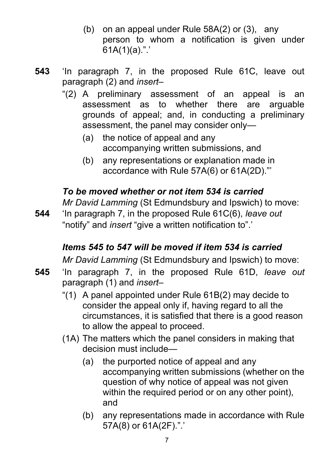- (b) on an appeal under Rule 58A(2) or (3), any person to whom a notification is given under  $61A(1)(a)$ .".'
- **543** 'In paragraph 7, in the proposed Rule 61C, leave out paragraph (2) and *insert–*
	- "(2) A preliminary assessment of an appeal is an assessment as to whether there are arguable grounds of appeal; and, in conducting a preliminary assessment, the panel may consider only—
		- (a) the notice of appeal and any accompanying written submissions, and
		- (b) any representations or explanation made in accordance with Rule 57A(6) or 61A(2D)."'

# *To be moved whether or not item 534 is carried*

*Mr David Lamming* (St Edmundsbury and Ipswich) to move:

**544** 'In paragraph 7, in the proposed Rule 61C(6), *leave out* "notify" and *insert* "give a written notification to".'

# *Items 545 to 547 will be moved if item 534 is carried*

*Mr David Lamming* (St Edmundsbury and Ipswich) to move:

- **545** 'In paragraph 7, in the proposed Rule 61D, *leave out* paragraph (1) and *insert–*
	- "(1) A panel appointed under Rule 61B(2) may decide to consider the appeal only if, having regard to all the circumstances, it is satisfied that there is a good reason to allow the appeal to proceed.
	- (1A) The matters which the panel considers in making that decision must include—
		- (a) the purported notice of appeal and any accompanying written submissions (whether on the question of why notice of appeal was not given within the required period or on any other point), and
		- (b) any representations made in accordance with Rule 57A(8) or 61A(2F).".'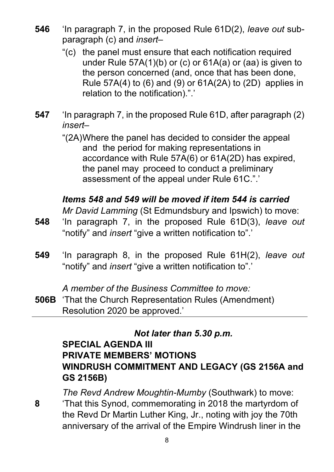- **546** 'In paragraph 7, in the proposed Rule 61D(2), *leave out* subparagraph (c) and *insert–*
	- "(c) the panel must ensure that each notification required under Rule 57A(1)(b) or (c) or 61A(a) or (aa) is given to the person concerned (and, once that has been done, Rule 57A(4) to (6) and (9) or 61A(2A) to (2D) applies in relation to the notification).".'
- **547** 'In paragraph 7, in the proposed Rule 61D, after paragraph (2) *insert–*

"(2A)Where the panel has decided to consider the appeal and the period for making representations in accordance with Rule 57A(6) or 61A(2D) has expired, the panel may proceed to conduct a preliminary assessment of the appeal under Rule 61C.".'

#### *Items 548 and 549 will be moved if item 544 is carried*

*Mr David Lamming* (St Edmundsbury and Ipswich) to move:

- **548** 'In paragraph 7, in the proposed Rule 61D(3), *leave out* "notify" and *insert* "give a written notification to".'
- **549** 'In paragraph 8, in the proposed Rule 61H(2), *leave out* "notify" and *insert* "give a written notification to".'

*A member of the Business Committee to move:*

**506B** 'That the Church Representation Rules (Amendment) Resolution 2020 be approved.'

*Not later than 5.30 p.m.*

#### **SPECIAL AGENDA III PRIVATE MEMBERS' MOTIONS WINDRUSH COMMITMENT AND LEGACY (GS 2156A and GS 2156B)**

*The Revd Andrew Moughtin-Mumby* (Southwark) to move: **8** 'That this Synod, commemorating in 2018 the martyrdom of the Revd Dr Martin Luther King, Jr., noting with joy the 70th anniversary of the arrival of the Empire Windrush liner in the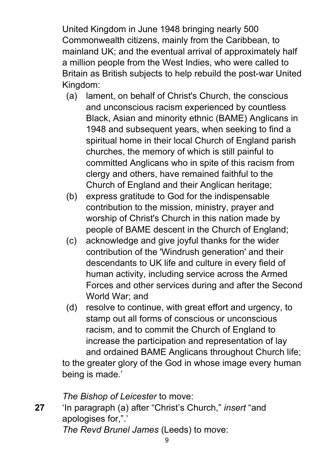United Kingdom in June 1948 bringing nearly 500 Commonwealth citizens, mainly from the Caribbean, to mainland UK; and the eventual arrival of approximately half a million people from the West Indies, who were called to Britain as British subjects to help rebuild the post-war United Kingdom:

- (a) lament, on behalf of Christ's Church, the conscious and unconscious racism experienced by countless Black, Asian and minority ethnic (BAME) Anglicans in 1948 and subsequent years, when seeking to find a spiritual home in their local Church of England parish churches, the memory of which is still painful to committed Anglicans who in spite of this racism from clergy and others, have remained faithful to the Church of England and their Anglican heritage;
- (b) express gratitude to God for the indispensable contribution to the mission, ministry, prayer and worship of Christ's Church in this nation made by people of BAME descent in the Church of England;
- (c) acknowledge and give joyful thanks for the wider contribution of the 'Windrush generation' and their descendants to UK life and culture in every field of human activity, including service across the Armed Forces and other services during and after the Second World War; and
- (d) resolve to continue, with great effort and urgency, to stamp out all forms of conscious or unconscious racism, and to commit the Church of England to increase the participation and representation of lay and ordained BAME Anglicans throughout Church life;

to the greater glory of the God in whose image every human being is made.'

*The Bishop of Leicester* to move:

**27** 'In paragraph (a) after "Christ's Church," *insert* "and apologises for,".'

*The Revd Brunel James* (Leeds) to move: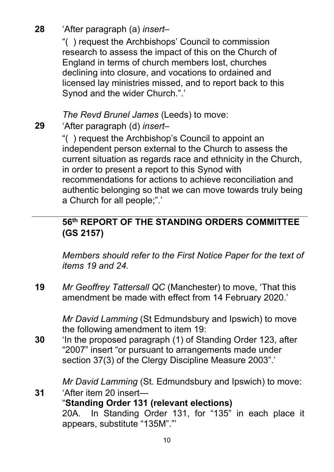# **28** 'After paragraph (a) *insert–*

"( ) request the Archbishops' Council to commission research to assess the impact of this on the Church of England in terms of church members lost, churches declining into closure, and vocations to ordained and licensed lay ministries missed, and to report back to this Synod and the wider Church.".'

*The Revd Brunel James* (Leeds) to move:

**29** 'After paragraph (d) *insert–*

"( ) request the Archbishop's Council to appoint an independent person external to the Church to assess the current situation as regards race and ethnicity in the Church, in order to present a report to this Synod with recommendations for actions to achieve reconciliation and authentic belonging so that we can move towards truly being a Church for all people;".'

# **56th REPORT OF THE STANDING ORDERS COMMITTEE (GS 2157)**

*Members should refer to the First Notice Paper for the text of items 19 and 24.*

**19** *Mr Geoffrey Tattersall QC* (Manchester) to move, 'That this amendment be made with effect from 14 February 2020.'

> *Mr David Lamming* (St Edmundsbury and Ipswich) to move the following amendment to item 19:

**30** 'In the proposed paragraph (1) of Standing Order 123, after "2007" insert "or pursuant to arrangements made under section 37(3) of the Clergy Discipline Measure 2003".'

*Mr David Lamming* (St. Edmundsbury and Ipswich) to move:

**31** 'After item 20 insert— "**Standing Order 131 (relevant elections)** 20A. In Standing Order 131, for "135" in each place it appears, substitute "135M"."'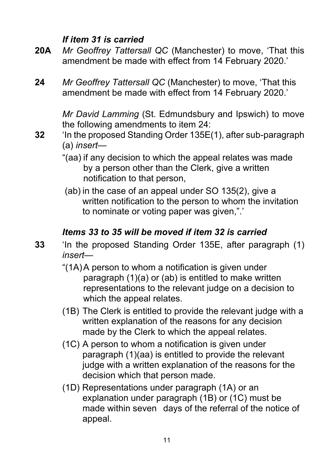#### *If item 31 is carried*

- **20A** *Mr Geoffrey Tattersall QC* (Manchester) to move, 'That this amendment be made with effect from 14 February 2020.'
- **24** *Mr Geoffrey Tattersall QC* (Manchester) to move, 'That this amendment be made with effect from 14 February 2020.'

*Mr David Lamming* (St. Edmundsbury and Ipswich) to move the following amendments to item 24:

- **32** 'In the proposed Standing Order 135E(1), after sub-paragraph (a) *insert*—
	- "(aa) if any decision to which the appeal relates was made by a person other than the Clerk, give a written notification to that person,
	- (ab) in the case of an appeal under SO 135(2), give a written notification to the person to whom the invitation to nominate or voting paper was given,".'

# *Items 33 to 35 will be moved if item 32 is carried*

- **33** 'In the proposed Standing Order 135E, after paragraph (1) *insert*—
	- "(1A)A person to whom a notification is given under paragraph (1)(a) or (ab) is entitled to make written representations to the relevant judge on a decision to which the appeal relates.
	- (1B) The Clerk is entitled to provide the relevant judge with a written explanation of the reasons for any decision made by the Clerk to which the appeal relates.
	- (1C) A person to whom a notification is given under paragraph (1)(aa) is entitled to provide the relevant judge with a written explanation of the reasons for the decision which that person made.
	- (1D) Representations under paragraph (1A) or an explanation under paragraph (1B) or (1C) must be made within seven days of the referral of the notice of appeal.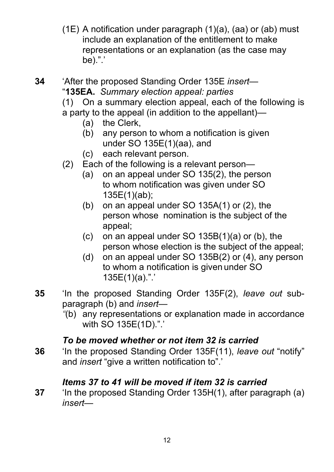(1E) A notification under paragraph  $(1)(a)$ ,  $(aa)$  or  $(ab)$  must include an explanation of the entitlement to make representations or an explanation (as the case may be).".'

**34** 'After the proposed Standing Order 135E *insert*— "**135EA.** *Summary election appeal: parties*

(1) On a summary election appeal, each of the following is a party to the appeal (in addition to the appellant)—

- (a) the Clerk,
- (b) any person to whom a notification is given under SO 135E(1)(aa), and
- (c) each relevant person.
- (2) Each of the following is a relevant person—
	- (a) on an appeal under SO 135(2), the person to whom notification was given under SO 135E(1)(ab);
	- (b) on an appeal under SO 135A(1) or (2), the person whose nomination is the subject of the appeal;
	- (c) on an appeal under SO 135B(1)(a) or (b), the person whose election is the subject of the appeal;
	- (d) on an appeal under SO 135B(2) or (4), any person to whom a notification is given under SO 135E(1)(a).".'
- **35** 'In the proposed Standing Order 135F(2), *leave out* subparagraph (b) and *insert*—
	- *"*(b) any representations or explanation made in accordance with SO 135E(1D).".'

#### *To be moved whether or not item 32 is carried*

**36** 'In the proposed Standing Order 135F(11), *leave out* "notify" and *insert* "give a written notification to".'

#### *Items 37 to 41 will be moved if item 32 is carried*

**37** 'In the proposed Standing Order 135H(1), after paragraph (a) *insert*—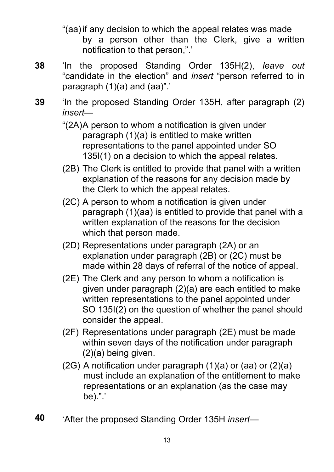"(aa)if any decision to which the appeal relates was made by a person other than the Clerk, give a written notification to that person,".'

- **38** 'In the proposed Standing Order 135H(2), *leave out* "candidate in the election" and *insert* "person referred to in paragraph  $(1)(a)$  and  $(aa)$ ".
- **39** 'In the proposed Standing Order 135H, after paragraph (2) *insert*—
	- "(2A)A person to whom a notification is given under paragraph (1)(a) is entitled to make written representations to the panel appointed under SO 135I(1) on a decision to which the appeal relates.
	- (2B) The Clerk is entitled to provide that panel with a written explanation of the reasons for any decision made by the Clerk to which the appeal relates.
	- (2C) A person to whom a notification is given under paragraph (1)(aa) is entitled to provide that panel with a written explanation of the reasons for the decision which that person made.
	- (2D) Representations under paragraph (2A) or an explanation under paragraph (2B) or (2C) must be made within 28 days of referral of the notice of appeal.
	- (2E) The Clerk and any person to whom a notification is given under paragraph (2)(a) are each entitled to make written representations to the panel appointed under SO 135I(2) on the question of whether the panel should consider the appeal.
	- (2F) Representations under paragraph (2E) must be made within seven days of the notification under paragraph (2)(a) being given.
	- (2G) A notification under paragraph (1)(a) or (aa) or (2)(a) must include an explanation of the entitlement to make representations or an explanation (as the case may be).".'
- **40** 'After the proposed Standing Order 135H *insert*—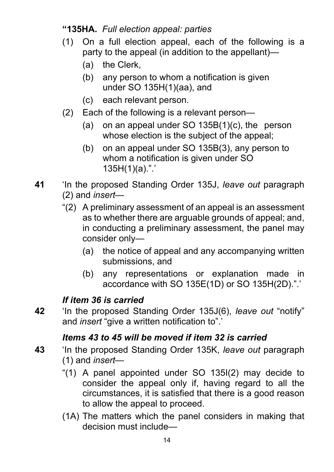#### **"135HA.** *Full election appeal: parties*

- (1) On a full election appeal, each of the following is a party to the appeal (in addition to the appellant)—
	- (a) the Clerk,
	- (b) any person to whom a notification is given under SO 135H(1)(aa), and
	- (c) each relevant person.
- (2) Each of the following is a relevant person—
	- (a) on an appeal under SO 135B(1)(c), the person whose election is the subject of the appeal;
	- (b) on an appeal under SO 135B(3), any person to whom a notification is given under SO 135H(1)(a).".'
- **41** 'In the proposed Standing Order 135J, *leave out* paragraph (2) and *insert*—
	- "(2) A preliminary assessment of an appeal is an assessment as to whether there are arguable grounds of appeal; and, in conducting a preliminary assessment, the panel may consider only—
		- (a) the notice of appeal and any accompanying written submissions, and
		- (b) any representations or explanation made in accordance with SO 135E(1D) or SO 135H(2D).".'

# *If item 36 is carried*

**42** 'In the proposed Standing Order 135J(6), *leave out* "notify" and *insert* "give a written notification to".'

# *Items 43 to 45 will be moved if item 32 is carried*

- **43** 'In the proposed Standing Order 135K, *leave out* paragraph (1) and *insert*—
	- "(1) A panel appointed under SO 135I(2) may decide to consider the appeal only if, having regard to all the circumstances, it is satisfied that there is a good reason to allow the appeal to proceed.
	- (1A) The matters which the panel considers in making that decision must include—